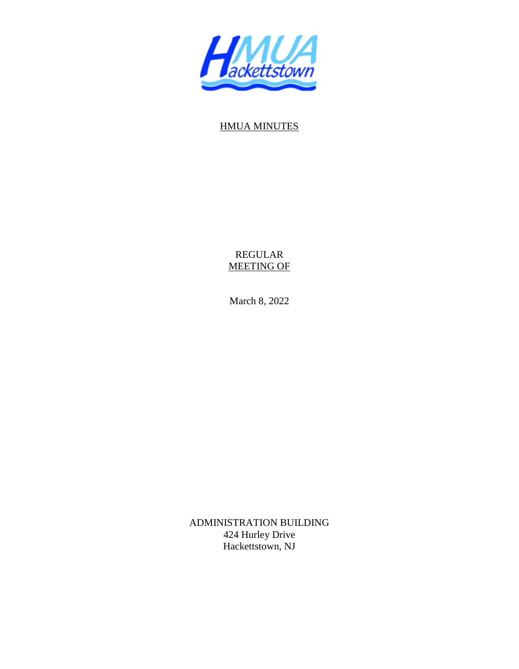

## HMUA MINUTES

REGULAR MEETING OF

March 8, 2022

ADMINISTRATION BUILDING 424 Hurley Drive Hackettstown, NJ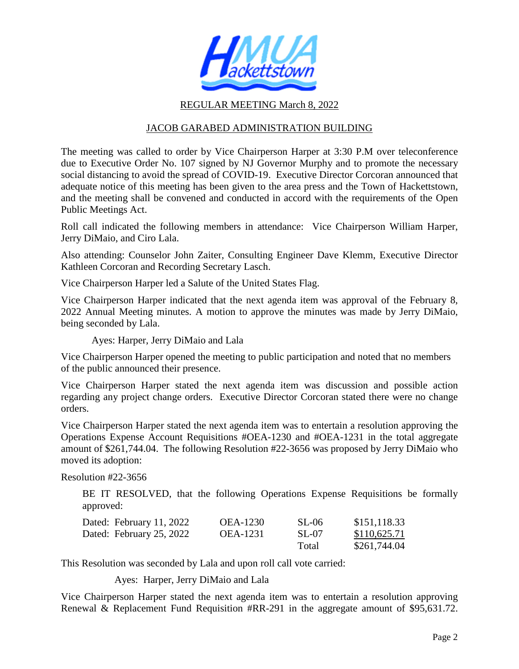

## REGULAR MEETING March 8, 2022

## JACOB GARABED ADMINISTRATION BUILDING

The meeting was called to order by Vice Chairperson Harper at 3:30 P.M over teleconference due to Executive Order No. 107 signed by NJ Governor Murphy and to promote the necessary social distancing to avoid the spread of COVID-19. Executive Director Corcoran announced that adequate notice of this meeting has been given to the area press and the Town of Hackettstown, and the meeting shall be convened and conducted in accord with the requirements of the Open Public Meetings Act.

Roll call indicated the following members in attendance: Vice Chairperson William Harper, Jerry DiMaio, and Ciro Lala.

Also attending: Counselor John Zaiter, Consulting Engineer Dave Klemm, Executive Director Kathleen Corcoran and Recording Secretary Lasch.

Vice Chairperson Harper led a Salute of the United States Flag.

Vice Chairperson Harper indicated that the next agenda item was approval of the February 8, 2022 Annual Meeting minutes. A motion to approve the minutes was made by Jerry DiMaio, being seconded by Lala.

Ayes: Harper, Jerry DiMaio and Lala

Vice Chairperson Harper opened the meeting to public participation and noted that no members of the public announced their presence.

Vice Chairperson Harper stated the next agenda item was discussion and possible action regarding any project change orders. Executive Director Corcoran stated there were no change orders.

Vice Chairperson Harper stated the next agenda item was to entertain a resolution approving the Operations Expense Account Requisitions #OEA-1230 and #OEA-1231 in the total aggregate amount of \$261,744.04. The following Resolution #22-3656 was proposed by Jerry DiMaio who moved its adoption:

Resolution #22-3656

BE IT RESOLVED, that the following Operations Expense Requisitions be formally approved:

| Dated: February 11, 2022 | <b>OEA-1230</b> | SL-06 | \$151,118.33 |
|--------------------------|-----------------|-------|--------------|
| Dated: February 25, 2022 | <b>OEA-1231</b> | SL-07 | \$110,625.71 |
|                          |                 | Total | \$261,744.04 |

This Resolution was seconded by Lala and upon roll call vote carried:

Ayes: Harper, Jerry DiMaio and Lala

Vice Chairperson Harper stated the next agenda item was to entertain a resolution approving Renewal & Replacement Fund Requisition #RR-291 in the aggregate amount of \$95,631.72.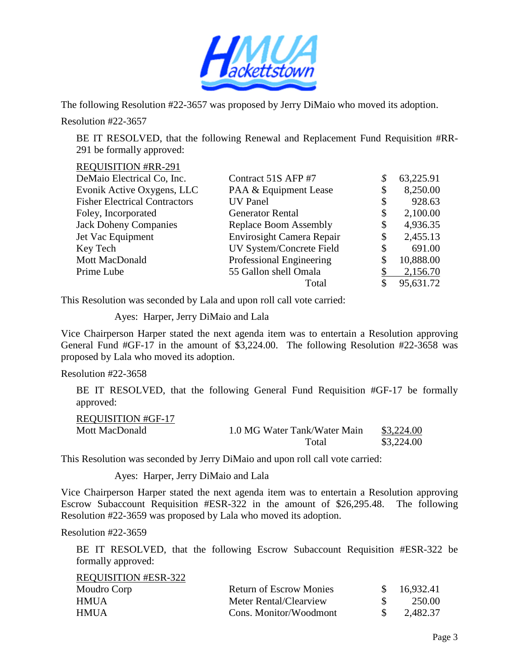

The following Resolution #22-3657 was proposed by Jerry DiMaio who moved its adoption.

Resolution #22-3657

BE IT RESOLVED, that the following Renewal and Replacement Fund Requisition #RR-291 be formally approved:

## REQUISITION #RR-291

| DeMaio Electrical Co, Inc.           | Contract 51S AFP #7       | 63,225.91      |
|--------------------------------------|---------------------------|----------------|
| Evonik Active Oxygens, LLC           | PAA & Equipment Lease     | \$<br>8,250.00 |
| <b>Fisher Electrical Contractors</b> | <b>UV</b> Panel           | \$<br>928.63   |
| Foley, Incorporated                  | <b>Generator Rental</b>   | \$<br>2,100.00 |
| <b>Jack Doheny Companies</b>         | Replace Boom Assembly     | \$<br>4,936.35 |
| Jet Vac Equipment                    | Envirosight Camera Repair | \$<br>2,455.13 |
| Key Tech                             | UV System/Concrete Field  | \$<br>691.00   |
| Mott MacDonald                       | Professional Engineering  | 10,888.00      |
| Prime Lube                           | 55 Gallon shell Omala     | 2,156.70       |
|                                      | Total                     | 95,631.72      |

This Resolution was seconded by Lala and upon roll call vote carried:

Ayes: Harper, Jerry DiMaio and Lala

Vice Chairperson Harper stated the next agenda item was to entertain a Resolution approving General Fund #GF-17 in the amount of \$3,224.00. The following Resolution #22-3658 was proposed by Lala who moved its adoption.

Resolution #22-3658

 BE IT RESOLVED, that the following General Fund Requisition #GF-17 be formally approved:

| <b>REQUISITION #GF-17</b> |                              |            |
|---------------------------|------------------------------|------------|
| Mott MacDonald            | 1.0 MG Water Tank/Water Main | \$3,224.00 |
|                           | Total                        | \$3,224.00 |

This Resolution was seconded by Jerry DiMaio and upon roll call vote carried:

Ayes: Harper, Jerry DiMaio and Lala

Vice Chairperson Harper stated the next agenda item was to entertain a Resolution approving Escrow Subaccount Requisition #ESR-322 in the amount of \$26,295.48. The following Resolution #22-3659 was proposed by Lala who moved its adoption.

Resolution #22-3659

BE IT RESOLVED, that the following Escrow Subaccount Requisition #ESR-322 be formally approved:

| <b>REQUISITION #ESR-322</b> |                                |             |
|-----------------------------|--------------------------------|-------------|
| Moudro Corp                 | <b>Return of Escrow Monies</b> | \$16,932.41 |
| <b>HMUA</b>                 | Meter Rental/Clearview         | 250.00      |
| HMUA.                       | Cons. Monitor/Woodmont         | 2.482.37    |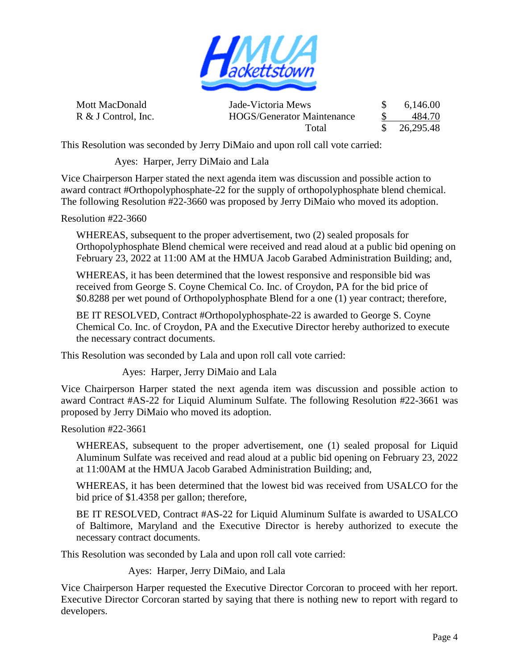

Mott MacDonald Jade-Victoria Mews \$ 6,146.00 R & J Control, Inc. HOGS/Generator Maintenance \$ 484.70 Total \$ 26,295.48

This Resolution was seconded by Jerry DiMaio and upon roll call vote carried:

Ayes: Harper, Jerry DiMaio and Lala

Vice Chairperson Harper stated the next agenda item was discussion and possible action to award contract #Orthopolyphosphate-22 for the supply of orthopolyphosphate blend chemical. The following Resolution #22-3660 was proposed by Jerry DiMaio who moved its adoption.

Resolution #22-3660

WHEREAS, subsequent to the proper advertisement, two (2) sealed proposals for Orthopolyphosphate Blend chemical were received and read aloud at a public bid opening on February 23, 2022 at 11:00 AM at the HMUA Jacob Garabed Administration Building; and,

WHEREAS, it has been determined that the lowest responsive and responsible bid was received from George S. Coyne Chemical Co. Inc. of Croydon, PA for the bid price of \$0.8288 per wet pound of Orthopolyphosphate Blend for a one (1) year contract; therefore,

BE IT RESOLVED, Contract #Orthopolyphosphate-22 is awarded to George S. Coyne Chemical Co. Inc. of Croydon, PA and the Executive Director hereby authorized to execute the necessary contract documents.

This Resolution was seconded by Lala and upon roll call vote carried:

Ayes: Harper, Jerry DiMaio and Lala

Vice Chairperson Harper stated the next agenda item was discussion and possible action to award Contract #AS-22 for Liquid Aluminum Sulfate. The following Resolution #22-3661 was proposed by Jerry DiMaio who moved its adoption.

Resolution #22-3661

WHEREAS, subsequent to the proper advertisement, one (1) sealed proposal for Liquid Aluminum Sulfate was received and read aloud at a public bid opening on February 23, 2022 at 11:00AM at the HMUA Jacob Garabed Administration Building; and,

WHEREAS, it has been determined that the lowest bid was received from USALCO for the bid price of \$1.4358 per gallon; therefore,

BE IT RESOLVED, Contract #AS-22 for Liquid Aluminum Sulfate is awarded to USALCO of Baltimore, Maryland and the Executive Director is hereby authorized to execute the necessary contract documents.

This Resolution was seconded by Lala and upon roll call vote carried:

Ayes: Harper, Jerry DiMaio, and Lala

Vice Chairperson Harper requested the Executive Director Corcoran to proceed with her report. Executive Director Corcoran started by saying that there is nothing new to report with regard to developers.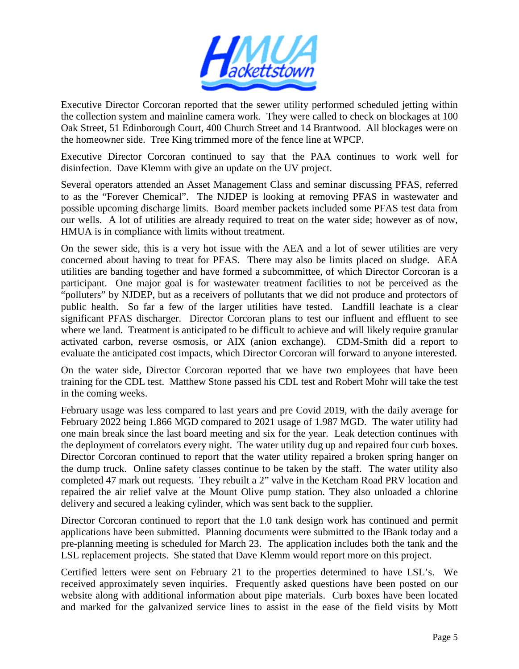

Executive Director Corcoran reported that the sewer utility performed scheduled jetting within the collection system and mainline camera work. They were called to check on blockages at 100 Oak Street, 51 Edinborough Court, 400 Church Street and 14 Brantwood. All blockages were on the homeowner side. Tree King trimmed more of the fence line at WPCP.

Executive Director Corcoran continued to say that the PAA continues to work well for disinfection. Dave Klemm with give an update on the UV project.

Several operators attended an Asset Management Class and seminar discussing PFAS, referred to as the "Forever Chemical". The NJDEP is looking at removing PFAS in wastewater and possible upcoming discharge limits. Board member packets included some PFAS test data from our wells. A lot of utilities are already required to treat on the water side; however as of now, HMUA is in compliance with limits without treatment.

On the sewer side, this is a very hot issue with the AEA and a lot of sewer utilities are very concerned about having to treat for PFAS. There may also be limits placed on sludge. AEA utilities are banding together and have formed a subcommittee, of which Director Corcoran is a participant. One major goal is for wastewater treatment facilities to not be perceived as the "polluters" by NJDEP, but as a receivers of pollutants that we did not produce and protectors of public health. So far a few of the larger utilities have tested. Landfill leachate is a clear significant PFAS discharger. Director Corcoran plans to test our influent and effluent to see where we land. Treatment is anticipated to be difficult to achieve and will likely require granular activated carbon, reverse osmosis, or AIX (anion exchange). CDM-Smith did a report to evaluate the anticipated cost impacts, which Director Corcoran will forward to anyone interested.

On the water side, Director Corcoran reported that we have two employees that have been training for the CDL test. Matthew Stone passed his CDL test and Robert Mohr will take the test in the coming weeks.

February usage was less compared to last years and pre Covid 2019, with the daily average for February 2022 being 1.866 MGD compared to 2021 usage of 1.987 MGD. The water utility had one main break since the last board meeting and six for the year. Leak detection continues with the deployment of correlators every night. The water utility dug up and repaired four curb boxes. Director Corcoran continued to report that the water utility repaired a broken spring hanger on the dump truck. Online safety classes continue to be taken by the staff. The water utility also completed 47 mark out requests. They rebuilt a 2" valve in the Ketcham Road PRV location and repaired the air relief valve at the Mount Olive pump station. They also unloaded a chlorine delivery and secured a leaking cylinder, which was sent back to the supplier.

Director Corcoran continued to report that the 1.0 tank design work has continued and permit applications have been submitted. Planning documents were submitted to the IBank today and a pre-planning meeting is scheduled for March 23. The application includes both the tank and the LSL replacement projects. She stated that Dave Klemm would report more on this project.

Certified letters were sent on February 21 to the properties determined to have LSL's. We received approximately seven inquiries. Frequently asked questions have been posted on our website along with additional information about pipe materials. Curb boxes have been located and marked for the galvanized service lines to assist in the ease of the field visits by Mott